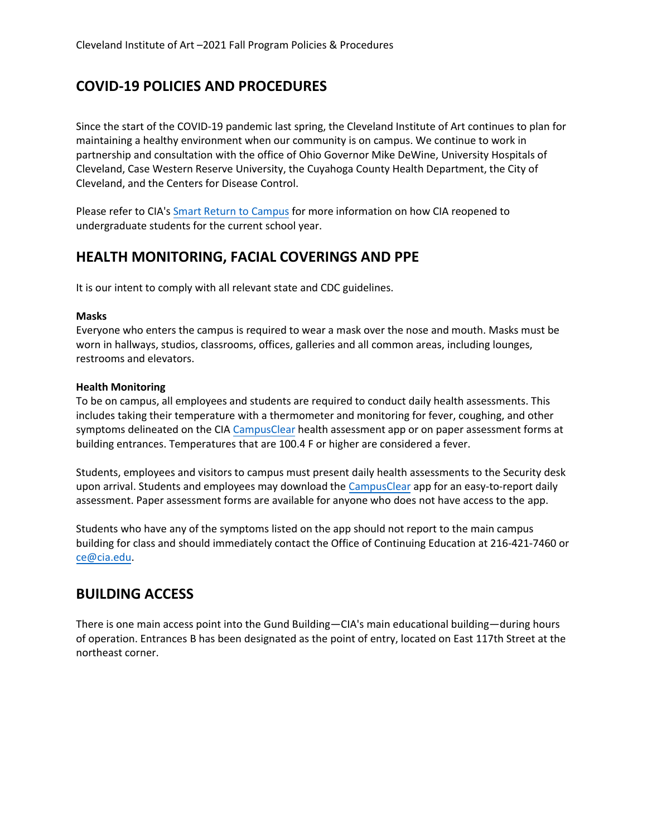# **COVID-19 POLICIES AND PROCEDURES**

Since the start of the COVID-19 pandemic last spring, the Cleveland Institute of Art continues to plan for maintaining a healthy environment when our community is on campus. We continue to work in partnership and consultation with the office of Ohio Governor Mike DeWine, University Hospitals of Cleveland, Case Western Reserve University, the Cuyahoga County Health Department, the City of Cleveland, and the Centers for Disease Control.

Please refer to CIA'[s Smart Return to Campus](https://www.cia.edu/about-us/safety-security/smart-return-to-school) for more information on how CIA reopened to undergraduate students for the current school year.

## **HEALTH MONITORING, FACIAL COVERINGS AND PPE**

It is our intent to comply with all relevant state and CDC guidelines.

#### **Masks**

Everyone who enters the campus is required to wear a mask over the nose and mouth. Masks must be worn in hallways, studios, classrooms, offices, galleries and all common areas, including lounges, restrooms and elevators.

#### **Health Monitoring**

To be on campus, all employees and students are required to conduct daily health assessments. This includes taking their temperature with a thermometer and monitoring for fever, coughing, and other symptoms delineated on the CIA [CampusClear](https://www.campusclear.com/) health assessment app or on paper assessment forms at building entrances. Temperatures that are 100.4 F or higher are considered a fever.

Students, employees and visitors to campus must present daily health assessments to the Security desk upon arrival. Students and employees may download the [CampusClear](https://www.campusclear.com/) app for an easy-to-report daily assessment. Paper assessment forms are available for anyone who does not have access to the app.

Students who have any of the symptoms listed on the app should not report to the main campus building for class and should immediately contact the Office of Continuing Education at 216-421-7460 or ce@cia.edu.

## **[BUILDING](mailto:ce@cia.edu) ACCESS**

There is one main access point into the Gund Building—CIA's main educational building—during hours of operation. Entrances B has been designated as the point of entry, located on East 117th Street at the northeast corner.